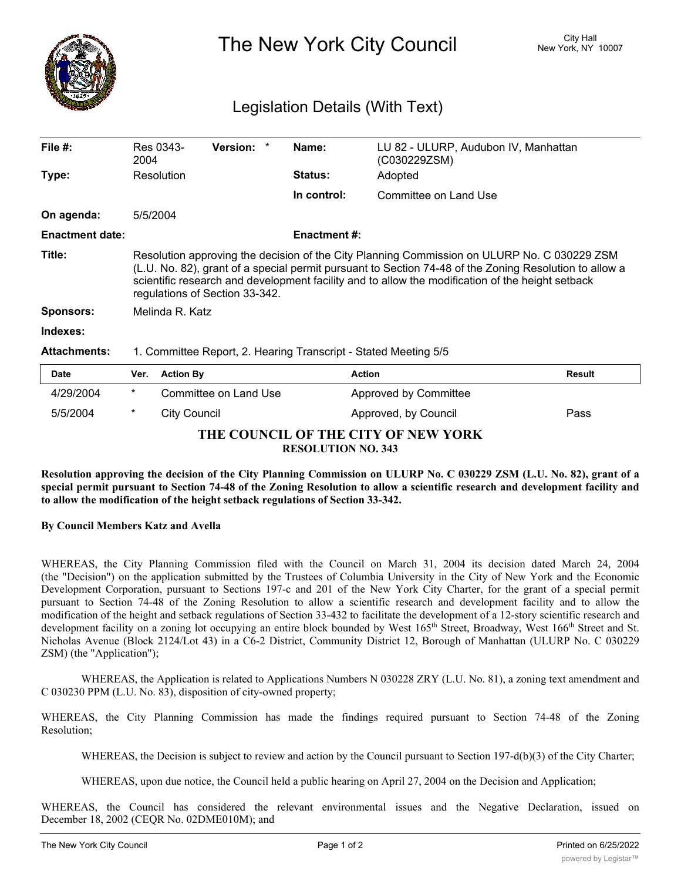

The New York City Council New York, NY 10007

## Legislation Details (With Text)

| File #:                | Res 0343-<br>2004                                                                                                                                                                                                                                                                                                                           |                       | <b>Version:</b> |  | Name:               | LU 82 - ULURP, Audubon IV, Manhattan<br>(C030229ZSM) |        |
|------------------------|---------------------------------------------------------------------------------------------------------------------------------------------------------------------------------------------------------------------------------------------------------------------------------------------------------------------------------------------|-----------------------|-----------------|--|---------------------|------------------------------------------------------|--------|
| Type:                  |                                                                                                                                                                                                                                                                                                                                             | Resolution            |                 |  | <b>Status:</b>      | Adopted                                              |        |
|                        |                                                                                                                                                                                                                                                                                                                                             |                       |                 |  | In control:         | Committee on Land Use                                |        |
| On agenda:             | 5/5/2004                                                                                                                                                                                                                                                                                                                                    |                       |                 |  |                     |                                                      |        |
| <b>Enactment date:</b> |                                                                                                                                                                                                                                                                                                                                             |                       |                 |  | <b>Enactment #:</b> |                                                      |        |
| Title:                 | Resolution approving the decision of the City Planning Commission on ULURP No. C 030229 ZSM<br>(L.U. No. 82), grant of a special permit pursuant to Section 74-48 of the Zoning Resolution to allow a<br>scientific research and development facility and to allow the modification of the height setback<br>regulations of Section 33-342. |                       |                 |  |                     |                                                      |        |
| <b>Sponsors:</b>       | Melinda R. Katz                                                                                                                                                                                                                                                                                                                             |                       |                 |  |                     |                                                      |        |
| Indexes:               |                                                                                                                                                                                                                                                                                                                                             |                       |                 |  |                     |                                                      |        |
| <b>Attachments:</b>    | 1. Committee Report, 2. Hearing Transcript - Stated Meeting 5/5                                                                                                                                                                                                                                                                             |                       |                 |  |                     |                                                      |        |
| Date                   | Ver.                                                                                                                                                                                                                                                                                                                                        | <b>Action By</b>      |                 |  |                     | <b>Action</b>                                        | Result |
| 4/29/2004              | $\star$                                                                                                                                                                                                                                                                                                                                     | Committee on Land Use |                 |  |                     | Approved by Committee                                |        |

**THE COUNCIL OF THE CITY OF NEW YORK RESOLUTION NO. 343**

5/5/2004 **\*** City Council **Approved, by Council** Pass

Resolution approving the decision of the City Planning Commission on ULURP No. C 030229 ZSM (L.U. No. 82), grant of a special permit pursuant to Section 74-48 of the Zoning Resolution to allow a scientific research and development facility and **to allow the modification of the height setback regulations of Section 33-342.**

**By Council Members Katz and Avella**

WHEREAS, the City Planning Commission filed with the Council on March 31, 2004 its decision dated March 24, 2004 (the "Decision") on the application submitted by the Trustees of Columbia University in the City of New York and the Economic Development Corporation, pursuant to Sections 197-c and 201 of the New York City Charter, for the grant of a special permit pursuant to Section 74-48 of the Zoning Resolution to allow a scientific research and development facility and to allow the modification of the height and setback regulations of Section 33-432 to facilitate the development of a 12-story scientific research and development facility on a zoning lot occupying an entire block bounded by West 165<sup>th</sup> Street, Broadway, West 166<sup>th</sup> Street and St. Nicholas Avenue (Block 2124/Lot 43) in a C6-2 District, Community District 12, Borough of Manhattan (ULURP No. C 030229 ZSM) (the "Application");

WHEREAS, the Application is related to Applications Numbers N 030228 ZRY (L.U. No. 81), a zoning text amendment and C 030230 PPM (L.U. No. 83), disposition of city-owned property;

WHEREAS, the City Planning Commission has made the findings required pursuant to Section 74-48 of the Zoning Resolution;

WHEREAS, the Decision is subject to review and action by the Council pursuant to Section 197-d(b)(3) of the City Charter;

WHEREAS, upon due notice, the Council held a public hearing on April 27, 2004 on the Decision and Application;

WHEREAS, the Council has considered the relevant environmental issues and the Negative Declaration, issued on December 18, 2002 (CEQR No. 02DME010M); and